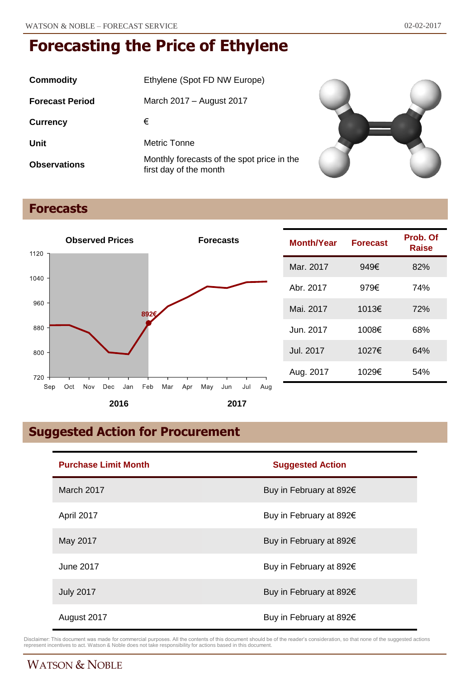| Commodity              | Ethylene (Spot FD NW Europe)                                         |
|------------------------|----------------------------------------------------------------------|
| <b>Forecast Period</b> | March 2017 – August 2017                                             |
| <b>Currency</b>        | €                                                                    |
| Unit                   | Metric Tonne                                                         |
| <b>Observations</b>    | Monthly forecasts of the spot price in the<br>first day of the month |



## **Forecasts**



| <b>Month/Year</b> | <b>Forecast</b> | Prob. Of<br>Raise |
|-------------------|-----------------|-------------------|
| Mar. 2017         | 949€            | 82%               |
| Abr. 2017         | 979€            | 74%               |
| Mai. 2017         | 1013€           | 72%               |
| Jun. 2017         | 1008€           | 68%               |
| Jul. 2017         | 1027€           | 64%               |
| Aug. 2017         | 1029€           | 54%               |

## **Suggested Action for Procurement**

| <b>Purchase Limit Month</b> | <b>Suggested Action</b>           |
|-----------------------------|-----------------------------------|
| March 2017                  | Buy in February at 892€           |
| April 2017                  | Buy in February at 892€           |
| May 2017                    | Buy in February at 892€           |
| June 2017                   | Buy in February at 892€           |
| <b>July 2017</b>            | Buy in February at 892€           |
| August 2017                 | Buy in February at 892 $\epsilon$ |

Disclaimer: This document was made for commercial purposes. All the contents of this document should be of the reader's consideration, so that none of the suggested actions<br>represent incentives to act. Watson & Noble does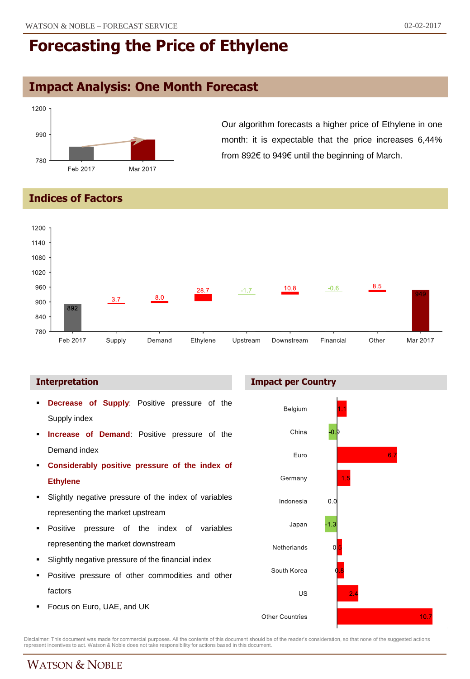### **Impact Analysis: One Month Forecast**



Our algorithm forecasts a higher price of Ethylene in one month: it is expectable that the price increases 6,44% from 892€ to 949€ until the beginning of March.

**Indices of Factors**



#### **Interpretation**

- **Decrease of Supply**: Positive pressure of the Supply index
- **Increase of Demand**: Positive pressure of the Demand index
- **Considerably positive pressure of the index of Ethylene**
- Slightly negative pressure of the index of variables representing the market upstream
- **Positive pressure of the index of variables** representing the market downstream
- Slightly negative pressure of the financial index
- Positive pressure of other commodities and other factors
- Focus on Euro, UAE, and UK



Disclaimer: This document was made for commercial purposes. All the contents of this document should be of the reader's consideration, so that none of the suggested actions<br>represent incentives to act. Watson & Noble does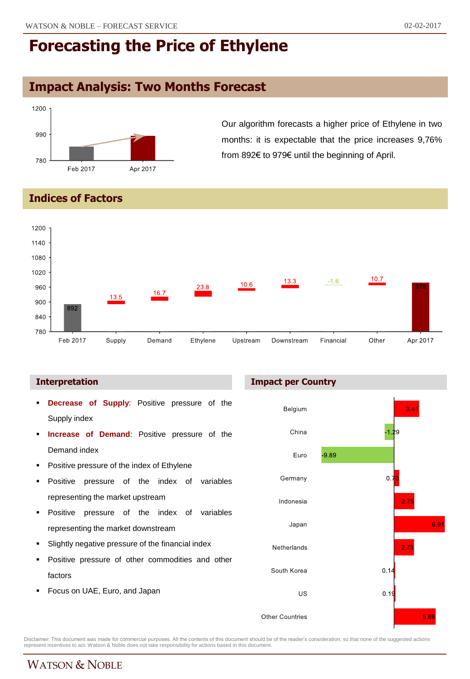### **Impact Analysis: Two Months Forecast**



Our algorithm forecasts a higher price of Ethylene in two months: it is expectable that the price increases 9,76% from 892€ to 979€ until the beginning of April.

#### **Indices of Factors**



- **Decrease of Supply**: Positive pressure of the Supply index
- **Increase of Demand**: Positive pressure of the Demand index
- Positive pressure of the index of Ethylene
- Positive pressure of the index of variables representing the market upstream
- **Positive pressure of the index of variables** representing the market downstream
- Slightly negative pressure of the financial index
- Positive pressure of other commodities and other factors
- Focus on UAE, Euro, and Japan





Disclaimer: This document was made for commercial purposes. All the contents of this document should be of the reader's consideration, so that none of the suggested actions<br>represent incentives to act. Watson & Noble does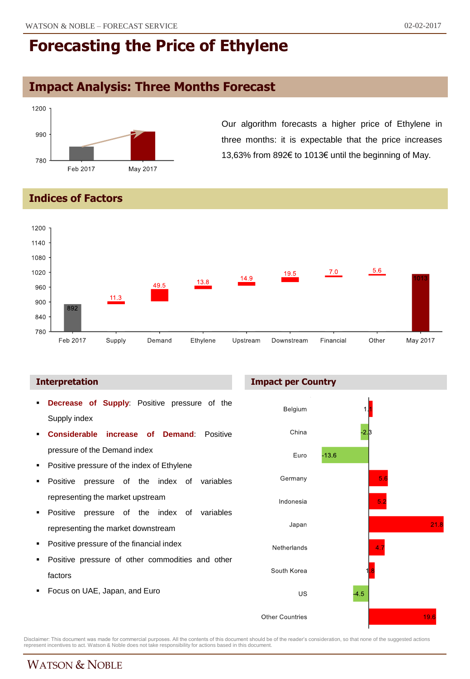## **Impact Analysis: Three Months Forecast**



Our algorithm forecasts a higher price of Ethylene in three months: it is expectable that the price increases 13,63% from 892€ to 1013€ until the beginning of May.

#### **Indices of Factors**



#### **Interpretation Impact per Country**

- **Decrease of Supply**: Positive pressure of the Supply index
- **Considerable increase of Demand**: Positive pressure of the Demand index
- **•** Positive pressure of the index of Ethylene
- Positive pressure of the index of variables representing the market upstream
- **Positive pressure of the index of variables** representing the market downstream
- Positive pressure of the financial index
- Positive pressure of other commodities and other factors
- Focus on UAE, Japan, and Euro



Disclaimer: This document was made for commercial purposes. All the contents of this document should be of the reader's consideration, so that none of the suggested actions<br>represent incentives to act. Watson & Noble does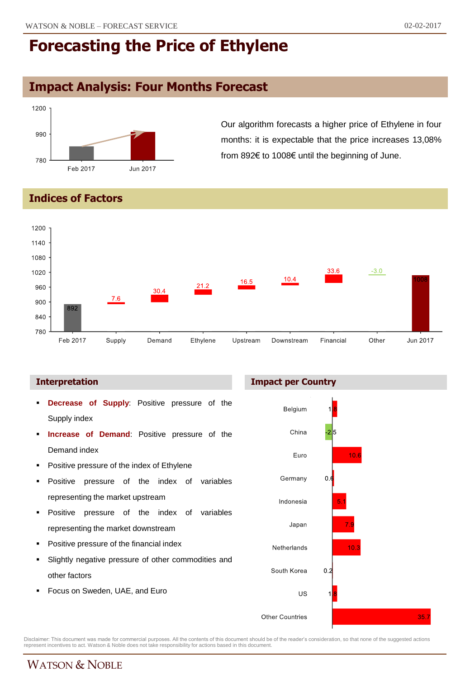## **Impact Analysis: Four Months Forecast**



Our algorithm forecasts a higher price of Ethylene in four months: it is expectable that the price increases 13,08% from 892€ to 1008€ until the beginning of June.

#### **Indices of Factors**



#### **Interpretation Impact per Country**

- **Decrease of Supply**: Positive pressure of the Supply index
- **Increase of Demand**: Positive pressure of the Demand index
- Positive pressure of the index of Ethylene
- Positive pressure of the index of variables representing the market upstream
- **Positive pressure of the index of variables** representing the market downstream
- Positive pressure of the financial index
- Slightly negative pressure of other commodities and other factors
- Focus on Sweden, UAE, and Euro



Disclaimer: This document was made for commercial purposes. All the contents of this document should be of the reader's consideration, so that none of the suggested actions<br>represent incentives to act. Watson & Noble does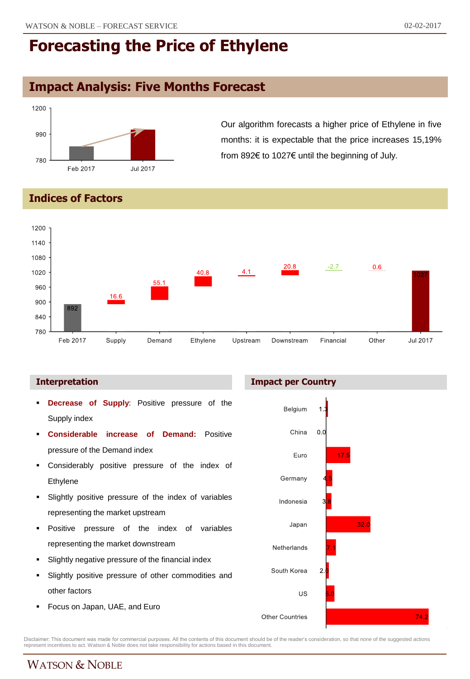## **Impact Analysis: Five Months Forecast**



Our algorithm forecasts a higher price of Ethylene in five months: it is expectable that the price increases 15,19% from 892€ to 1027€ until the beginning of July.

### **Indices of Factors**



#### **Interpretation Impact per Country**

- **Decrease of Supply**: Positive pressure of the Supply index
- **Considerable increase of Demand:** Positive pressure of the Demand index
- Considerably positive pressure of the index of Ethylene
- Slightly positive pressure of the index of variables representing the market upstream
- **Positive pressure of the index of variables** representing the market downstream
- Slightly negative pressure of the financial index
- Slightly positive pressure of other commodities and other factors
- Focus on Japan, UAE, and Euro





Disclaimer: This document was made for commercial purposes. All the contents of this document should be of the reader's consideration, so that none of the suggested actions<br>represent incentives to act. Watson & Noble does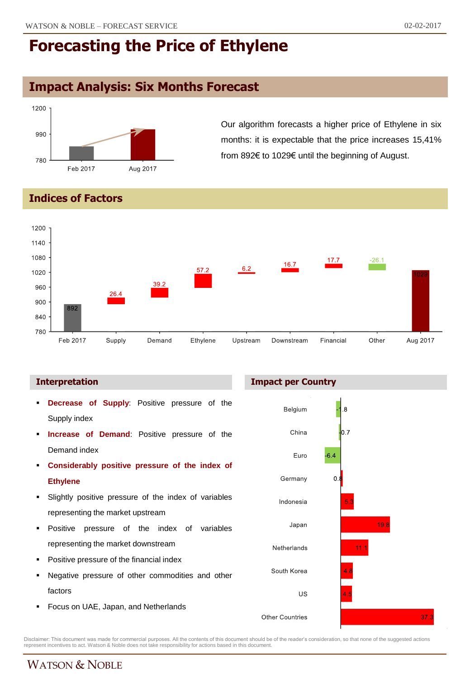## **Impact Analysis: Six Months Forecast**



Our algorithm forecasts a higher price of Ethylene in six months: it is expectable that the price increases 15,41% from 892€ to 1029€ until the beginning of August.

### **Indices of Factors**



#### **Interpretation Impact per Country**

- **Decrease of Supply**: Positive pressure of the Supply index
- **Increase of Demand**: Positive pressure of the Demand index
- **Considerably positive pressure of the index of Ethylene**
- Slightly positive pressure of the index of variables representing the market upstream
- Positive pressure of the index of variables representing the market downstream
- Positive pressure of the financial index
- Negative pressure of other commodities and other factors
- Focus on UAE, Japan, and Netherlands



Disclaimer: This document was made for commercial purposes. All the contents of this document should be of the reader's consideration, so that none of the suggested actions<br>represent incentives to act. Watson & Noble does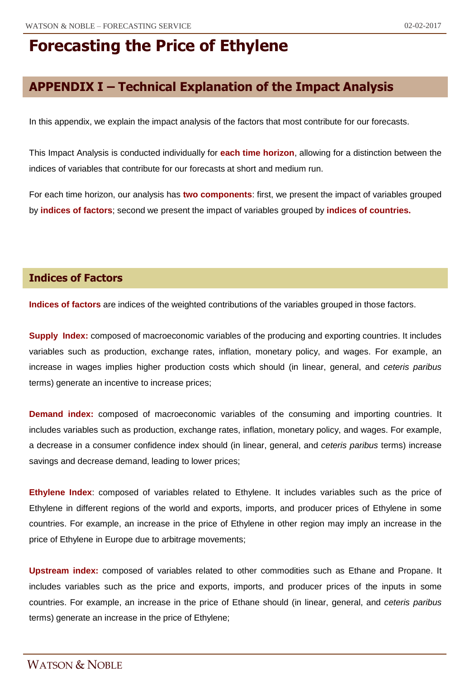## **APPENDIX I – Technical Explanation of the Impact Analysis**

In this appendix, we explain the impact analysis of the factors that most contribute for our forecasts.

This Impact Analysis is conducted individually for **each time horizon**, allowing for a distinction between the indices of variables that contribute for our forecasts at short and medium run.

For each time horizon, our analysis has **two components**: first, we present the impact of variables grouped by **indices of factors**; second we present the impact of variables grouped by **indices of countries.**

#### **Indices of Factors**

**Indices of factors** are indices of the weighted contributions of the variables grouped in those factors.

**Supply Index:** composed of macroeconomic variables of the producing and exporting countries. It includes variables such as production, exchange rates, inflation, monetary policy, and wages. For example, an increase in wages implies higher production costs which should (in linear, general, and *ceteris paribus* terms) generate an incentive to increase prices;

**Demand index:** composed of macroeconomic variables of the consuming and importing countries. It includes variables such as production, exchange rates, inflation, monetary policy, and wages. For example, a decrease in a consumer confidence index should (in linear, general, and *ceteris paribus* terms) increase savings and decrease demand, leading to lower prices;

**Ethylene Index**: composed of variables related to Ethylene. It includes variables such as the price of Ethylene in different regions of the world and exports, imports, and producer prices of Ethylene in some countries. For example, an increase in the price of Ethylene in other region may imply an increase in the price of Ethylene in Europe due to arbitrage movements;

**Upstream index:** composed of variables related to other commodities such as Ethane and Propane. It includes variables such as the price and exports, imports, and producer prices of the inputs in some countries. For example, an increase in the price of Ethane should (in linear, general, and *ceteris paribus* terms) generate an increase in the price of Ethylene;